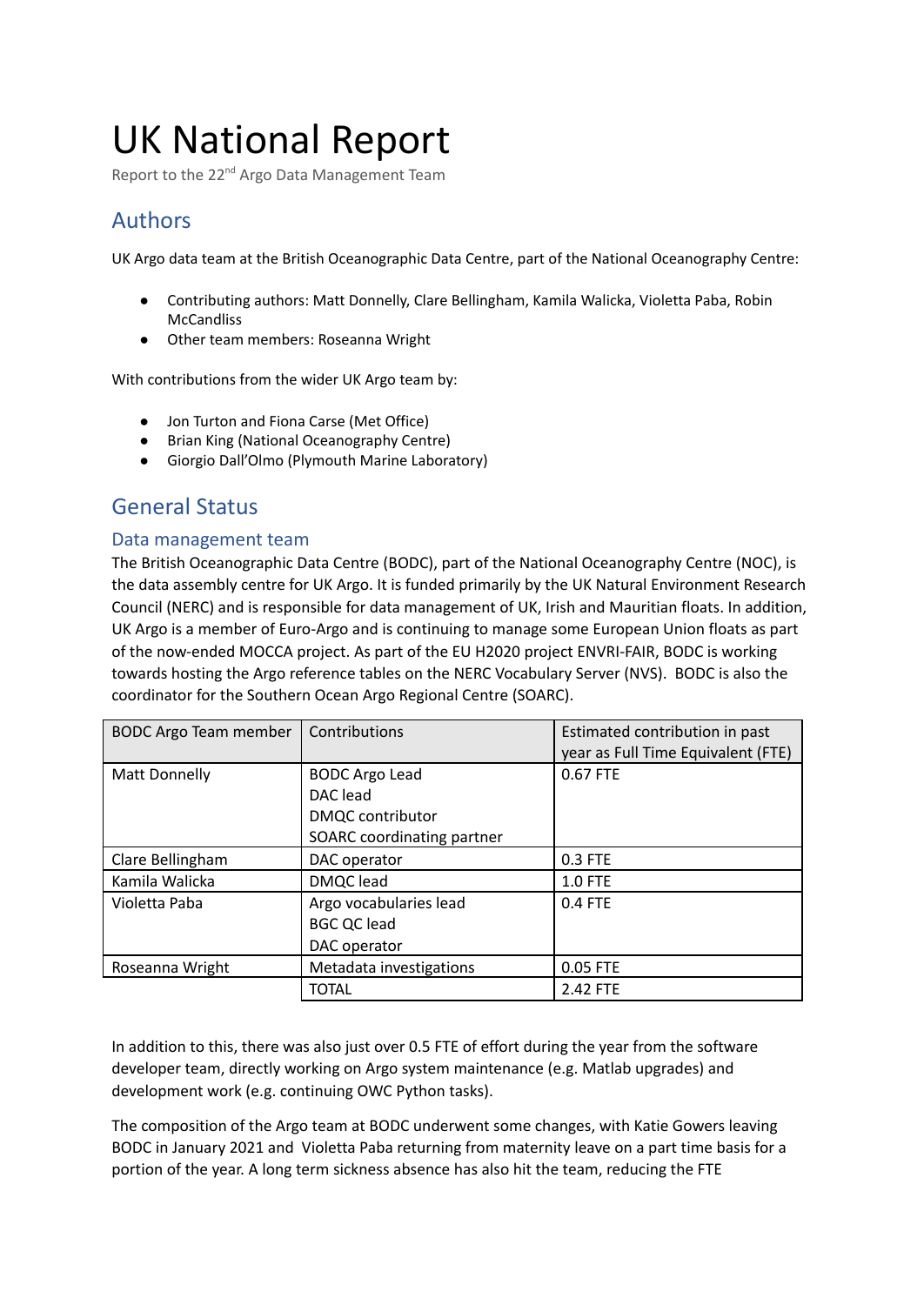# UK National Report

Report to the 22<sup>nd</sup> Argo Data Management Team

# Authors

UK Argo data team at the British Oceanographic Data Centre, part of the National Oceanography Centre:

- Contributing authors: Matt Donnelly, Clare Bellingham, Kamila Walicka, Violetta Paba, Robin **McCandliss**
- Other team members: Roseanna Wright

With contributions from the wider UK Argo team by:

- Jon Turton and Fiona Carse (Met Office)
- Brian King (National Oceanography Centre)
- Giorgio Dall'Olmo (Plymouth Marine Laboratory)

## General Status

#### Data management team

The British Oceanographic Data Centre (BODC), part of the National Oceanography Centre (NOC), is the data assembly centre for UK Argo. It is funded primarily by the UK Natural Environment Research Council (NERC) and is responsible for data management of UK, Irish and Mauritian floats. In addition, UK Argo is a member of Euro-Argo and is continuing to manage some European Union floats as part of the now-ended MOCCA project. As part of the EU H2020 project ENVRI-FAIR, BODC is working towards hosting the Argo reference tables on the NERC Vocabulary Server (NVS). BODC is also the coordinator for the Southern Ocean Argo Regional Centre (SOARC).

| <b>BODC Argo Team member</b> | Contributions                                                                              | Estimated contribution in past<br>year as Full Time Equivalent (FTE) |
|------------------------------|--------------------------------------------------------------------------------------------|----------------------------------------------------------------------|
| Matt Donnelly                | <b>BODC Argo Lead</b><br>DAC lead<br><b>DMQC</b> contributor<br>SOARC coordinating partner | 0.67 FTE                                                             |
| Clare Bellingham             | DAC operator                                                                               | 0.3 FTE                                                              |
| Kamila Walicka               | DMQC lead                                                                                  | $1.0$ FTE                                                            |
| Violetta Paba                | Argo vocabularies lead<br><b>BGC QC lead</b><br>DAC operator                               | 0.4 FTE                                                              |
| Roseanna Wright              | Metadata investigations                                                                    | 0.05 FTE                                                             |
|                              | <b>TOTAL</b>                                                                               | 2.42 FTE                                                             |

In addition to this, there was also just over 0.5 FTE of effort during the year from the software developer team, directly working on Argo system maintenance (e.g. Matlab upgrades) and development work (e.g. continuing OWC Python tasks).

The composition of the Argo team at BODC underwent some changes, with Katie Gowers leaving BODC in January 2021 and Violetta Paba returning from maternity leave on a part time basis for a portion of the year. A long term sickness absence has also hit the team, reducing the FTE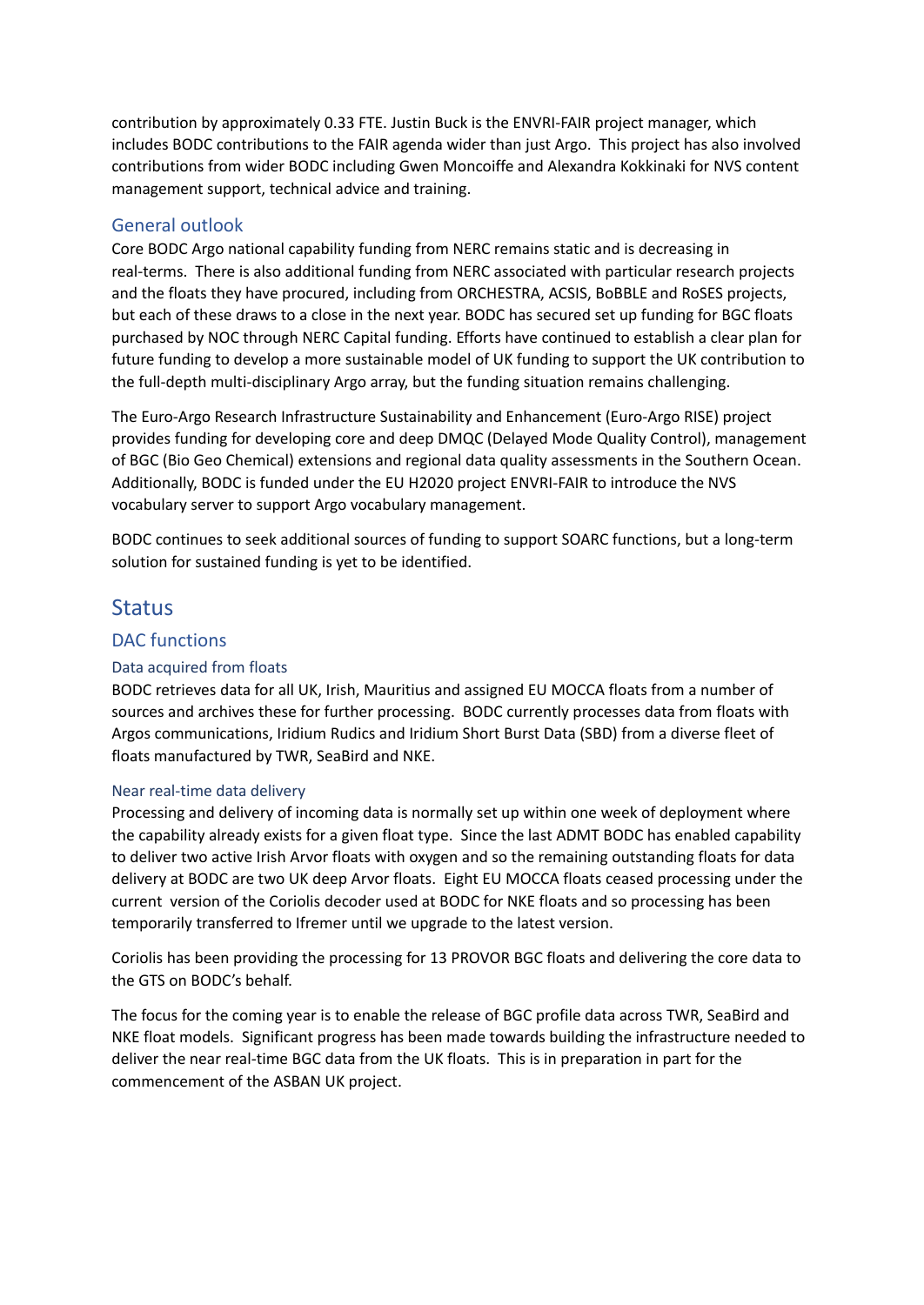contribution by approximately 0.33 FTE. Justin Buck is the ENVRI-FAIR project manager, which includes BODC contributions to the FAIR agenda wider than just Argo. This project has also involved contributions from wider BODC including Gwen Moncoiffe and Alexandra Kokkinaki for NVS content management support, technical advice and training.

### General outlook

Core BODC Argo national capability funding from NERC remains static and is decreasing in real-terms. There is also additional funding from NERC associated with particular research projects and the floats they have procured, including from ORCHESTRA, ACSIS, BoBBLE and RoSES projects, but each of these draws to a close in the next year. BODC has secured set up funding for BGC floats purchased by NOC through NERC Capital funding. Efforts have continued to establish a clear plan for future funding to develop a more sustainable model of UK funding to support the UK contribution to the full-depth multi-disciplinary Argo array, but the funding situation remains challenging.

The Euro-Argo Research Infrastructure Sustainability and Enhancement (Euro-Argo RISE) project provides funding for developing core and deep DMQC (Delayed Mode Quality Control), management of BGC (Bio Geo Chemical) extensions and regional data quality assessments in the Southern Ocean. Additionally, BODC is funded under the EU H2020 project ENVRI-FAIR to introduce the NVS vocabulary server to support Argo vocabulary management.

BODC continues to seek additional sources of funding to support SOARC functions, but a long-term solution for sustained funding is yet to be identified.

### **Status**

#### DAC functions

#### Data acquired from floats

BODC retrieves data for all UK, Irish, Mauritius and assigned EU MOCCA floats from a number of sources and archives these for further processing. BODC currently processes data from floats with Argos communications, Iridium Rudics and Iridium Short Burst Data (SBD) from a diverse fleet of floats manufactured by TWR, SeaBird and NKE.

#### Near real-time data delivery

Processing and delivery of incoming data is normally set up within one week of deployment where the capability already exists for a given float type. Since the last ADMT BODC has enabled capability to deliver two active Irish Arvor floats with oxygen and so the remaining outstanding floats for data delivery at BODC are two UK deep Arvor floats. Eight EU MOCCA floats ceased processing under the current version of the Coriolis decoder used at BODC for NKE floats and so processing has been temporarily transferred to Ifremer until we upgrade to the latest version.

Coriolis has been providing the processing for 13 PROVOR BGC floats and delivering the core data to the GTS on BODC's behalf.

The focus for the coming year is to enable the release of BGC profile data across TWR, SeaBird and NKE float models. Significant progress has been made towards building the infrastructure needed to deliver the near real-time BGC data from the UK floats. This is in preparation in part for the commencement of the ASBAN UK project.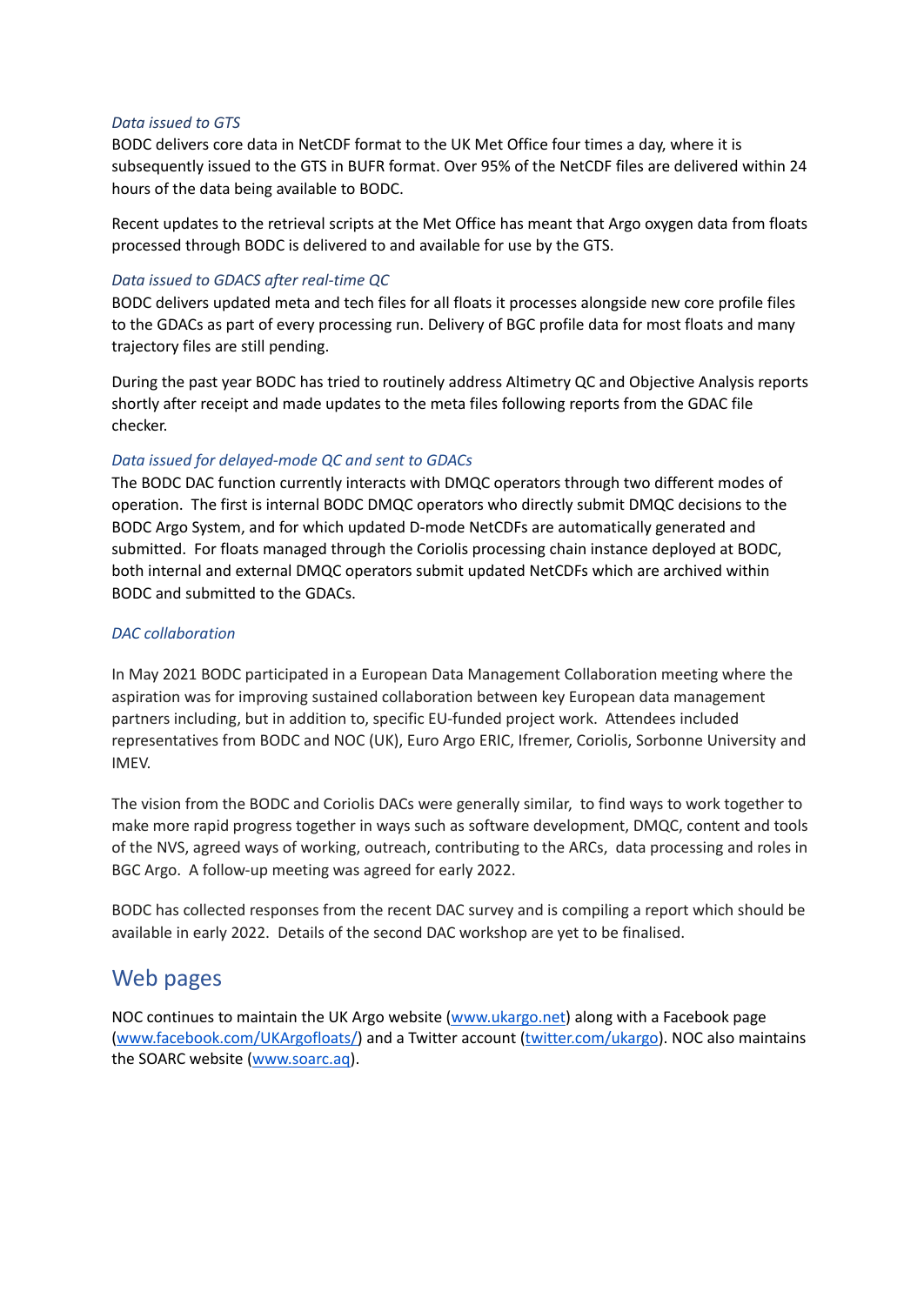#### *Data issued to GTS*

BODC delivers core data in NetCDF format to the UK Met Office four times a day, where it is subsequently issued to the GTS in BUFR format. Over 95% of the NetCDF files are delivered within 24 hours of the data being available to BODC.

Recent updates to the retrieval scripts at the Met Office has meant that Argo oxygen data from floats processed through BODC is delivered to and available for use by the GTS.

#### *Data issued to GDACS after real-time QC*

BODC delivers updated meta and tech files for all floats it processes alongside new core profile files to the GDACs as part of every processing run. Delivery of BGC profile data for most floats and many trajectory files are still pending.

During the past year BODC has tried to routinely address Altimetry QC and Objective Analysis reports shortly after receipt and made updates to the meta files following reports from the GDAC file checker.

#### *Data issued for delayed-mode QC and sent to GDACs*

The BODC DAC function currently interacts with DMQC operators through two different modes of operation. The first is internal BODC DMQC operators who directly submit DMQC decisions to the BODC Argo System, and for which updated D-mode NetCDFs are automatically generated and submitted. For floats managed through the Coriolis processing chain instance deployed at BODC, both internal and external DMQC operators submit updated NetCDFs which are archived within BODC and submitted to the GDACs.

#### *DAC collaboration*

In May 2021 BODC participated in a European Data Management Collaboration meeting where the aspiration was for improving sustained collaboration between key European data management partners including, but in addition to, specific EU-funded project work. Attendees included representatives from BODC and NOC (UK), Euro Argo ERIC, Ifremer, Coriolis, Sorbonne University and IMEV.

The vision from the BODC and Coriolis DACs were generally similar, to find ways to work together to make more rapid progress together in ways such as software development, DMQC, content and tools of the NVS, agreed ways of working, outreach, contributing to the ARCs, data processing and roles in BGC Argo. A follow-up meeting was agreed for early 2022.

BODC has collected responses from the recent DAC survey and is compiling a report which should be available in early 2022. Details of the second DAC workshop are yet to be finalised.

### Web pages

NOC continues to maintain the UK Argo website [\(www.ukargo.net\)](http://www.ukargo.net/) along with a Facebook page [\(www.facebook.com/UKArgofloats/\)](http://www.facebook.com/UKArgofloats/) and a Twitter account ([twitter.com/ukargo\)](http://twitter.com/ukargo). NOC also maintains the SOARC website ([www.soarc.aq](http://www.soarc.aq/)).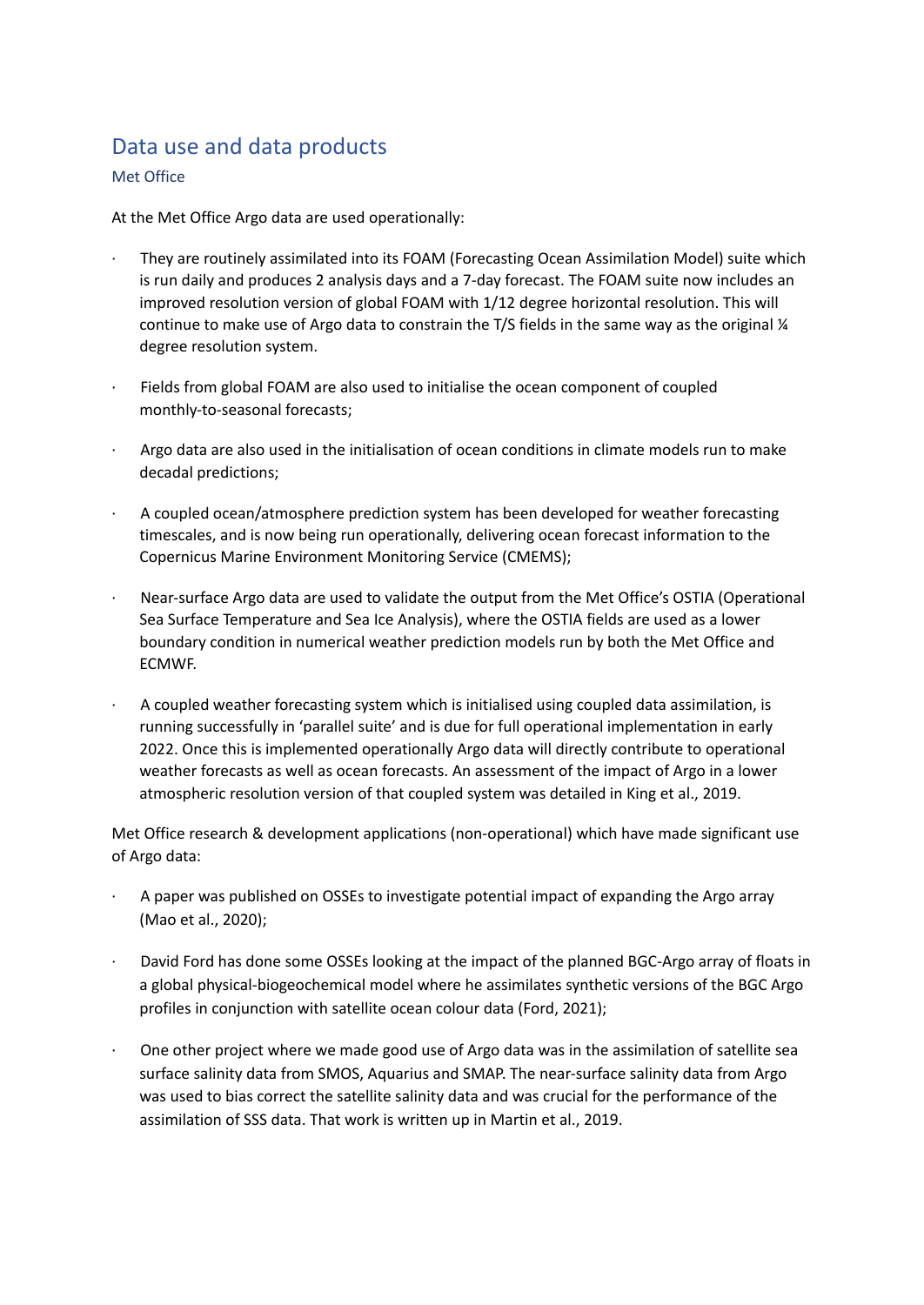# Data use and data products

#### Met Office

At the Met Office Argo data are used operationally:

- · They are routinely assimilated into its FOAM (Forecasting Ocean Assimilation Model) suite which is run daily and produces 2 analysis days and a 7-day forecast. The FOAM suite now includes an improved resolution version of global FOAM with 1/12 degree horizontal resolution. This will continue to make use of Argo data to constrain the T/S fields in the same way as the original ¼ degree resolution system.
- Fields from global FOAM are also used to initialise the ocean component of coupled monthly-to-seasonal forecasts;
- Argo data are also used in the initialisation of ocean conditions in climate models run to make decadal predictions;
- · A coupled ocean/atmosphere prediction system has been developed for weather forecasting timescales, and is now being run operationally, delivering ocean forecast information to the Copernicus Marine Environment Monitoring Service (CMEMS);
- · Near-surface Argo data are used to validate the output from the Met Office's OSTIA (Operational Sea Surface Temperature and Sea Ice Analysis), where the OSTIA fields are used as a lower boundary condition in numerical weather prediction models run by both the Met Office and ECMWF.
- · A coupled weather forecasting system which is initialised using coupled data assimilation, is running successfully in 'parallel suite' and is due for full operational implementation in early 2022. Once this is implemented operationally Argo data will directly contribute to operational weather forecasts as well as ocean forecasts. An assessment of the impact of Argo in a lower atmospheric resolution version of that coupled system was detailed in King et al., 2019.

Met Office research & development applications (non-operational) which have made significant use of Argo data:

- · A paper was published on OSSEs to investigate potential impact of expanding the Argo array (Mao et al., 2020);
- David Ford has done some OSSEs looking at the impact of the planned BGC-Argo array of floats in a global physical-biogeochemical model where he assimilates synthetic versions of the BGC Argo profiles in conjunction with satellite ocean colour data (Ford, 2021);
- · One other project where we made good use of Argo data was in the assimilation of satellite sea surface salinity data from SMOS, Aquarius and SMAP. The near-surface salinity data from Argo was used to bias correct the satellite salinity data and was crucial for the performance of the assimilation of SSS data. That work is written up in Martin et al., 2019.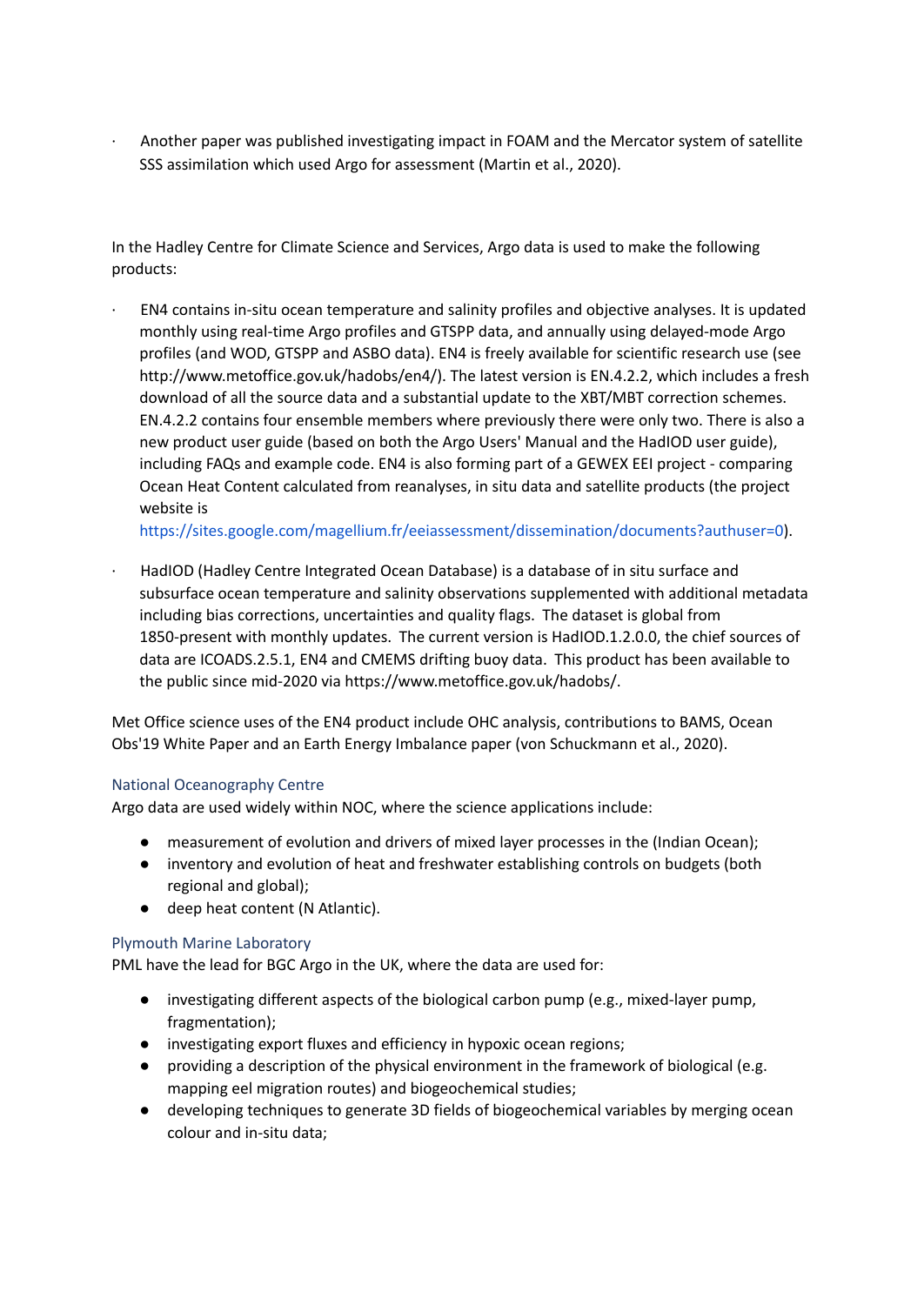· Another paper was published investigating impact in FOAM and the Mercator system of satellite SSS assimilation which used Argo for assessment (Martin et al., 2020).

In the Hadley Centre for Climate Science and Services, Argo data is used to make the following products:

· EN4 contains in-situ ocean temperature and salinity profiles and objective analyses. It is updated monthly using real‐time Argo profiles and GTSPP data, and annually using delayed‐mode Argo profiles (and WOD, GTSPP and ASBO data). EN4 is freely available for scientific research use (see http://www.metoffice.gov.uk/hadobs/en4/). The latest version is EN.4.2.2, which includes a fresh download of all the source data and a substantial update to the XBT/MBT correction schemes. EN.4.2.2 contains four ensemble members where previously there were only two. There is also a new product user guide (based on both the Argo Users' Manual and the HadIOD user guide), including FAQs and example code. EN4 is also forming part of a GEWEX EEI project - comparing Ocean Heat Content calculated from reanalyses, in situ data and satellite products (the project website i[s](https://sites.google.com/magellium.fr/eeiassessment/dissemination/documents?authuser=0)

<https://sites.google.com/magellium.fr/eeiassessment/dissemination/documents?authuser=0>).

· HadIOD (Hadley Centre Integrated Ocean Database) is a database of in situ surface and subsurface ocean temperature and salinity observations supplemented with additional metadata including bias corrections, uncertainties and quality flags. The dataset is global from 1850-present with monthly updates. The current version is HadIOD.1.2.0.0, the chief sources of data are ICOADS.2.5.1, EN4 and CMEMS drifting buoy data. This product has been available to the public since mid-2020 via https://www.metoffice.gov.uk/hadobs/.

Met Office science uses of the EN4 product include OHC analysis, contributions to BAMS, Ocean Obs'19 White Paper and an Earth Energy Imbalance paper (von Schuckmann et al., 2020).

#### National Oceanography Centre

Argo data are used widely within NOC, where the science applications include:

- measurement of evolution and drivers of mixed layer processes in the (Indian Ocean);
- inventory and evolution of heat and freshwater establishing controls on budgets (both regional and global);
- deep heat content (N Atlantic).

#### Plymouth Marine Laboratory

PML have the lead for BGC Argo in the UK, where the data are used for:

- investigating different aspects of the biological carbon pump (e.g., mixed-layer pump, fragmentation);
- investigating export fluxes and efficiency in hypoxic ocean regions;
- providing a description of the physical environment in the framework of biological (e.g. mapping eel migration routes) and biogeochemical studies;
- developing techniques to generate 3D fields of biogeochemical variables by merging ocean colour and in-situ data;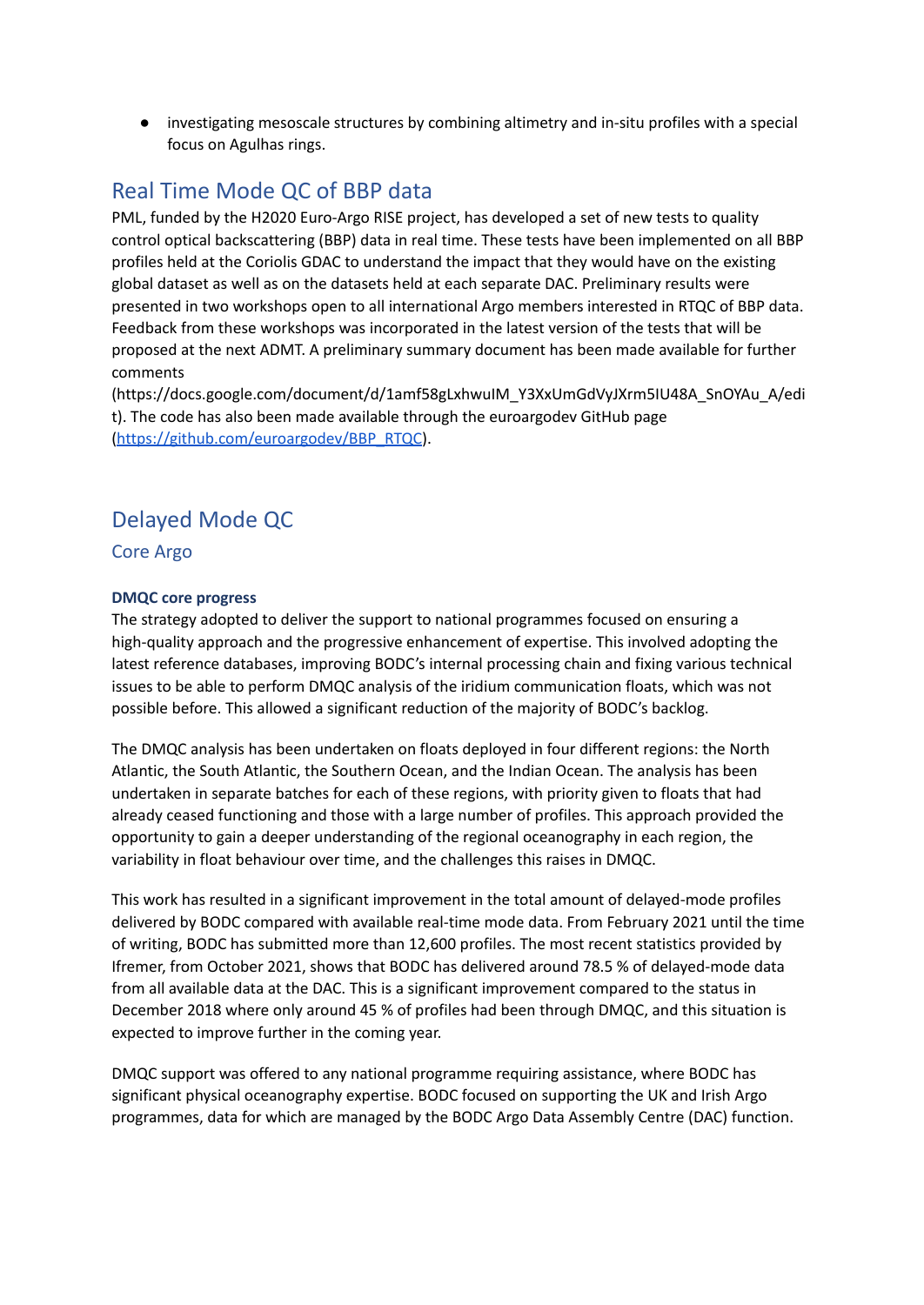● investigating mesoscale structures by combining altimetry and in-situ profiles with a special focus on Agulhas rings.

# Real Time Mode QC of BBP data

PML, funded by the H2020 Euro-Argo RISE project, has developed a set of new tests to quality control optical backscattering (BBP) data in real time. These tests have been implemented on all BBP profiles held at the Coriolis GDAC to understand the impact that they would have on the existing global dataset as well as on the datasets held at each separate DAC. Preliminary results were presented in two workshops open to all international Argo members interested in RTQC of BBP data. Feedback from these workshops was incorporated in the latest version of the tests that will be proposed at the next ADMT. A preliminary summary document has been made available for further comments

(https://docs.google.com/document/d/1amf58gLxhwuIM\_Y3XxUmGdVyJXrm5IU48A\_SnOYAu\_A/edi t). The code has also been made available through the euroargodev GitHub page [\(https://github.com/euroargodev/BBP\\_RTQC](https://github.com/euroargodev/BBP_RTQC)).

# Delayed Mode QC

Core Argo

#### **DMQC core progress**

The strategy adopted to deliver the support to national programmes focused on ensuring a high-quality approach and the progressive enhancement of expertise. This involved adopting the latest reference databases, improving BODC's internal processing chain and fixing various technical issues to be able to perform DMQC analysis of the iridium communication floats, which was not possible before. This allowed a significant reduction of the majority of BODC's backlog.

The DMQC analysis has been undertaken on floats deployed in four different regions: the North Atlantic, the South Atlantic, the Southern Ocean, and the Indian Ocean. The analysis has been undertaken in separate batches for each of these regions, with priority given to floats that had already ceased functioning and those with a large number of profiles. This approach provided the opportunity to gain a deeper understanding of the regional oceanography in each region, the variability in float behaviour over time, and the challenges this raises in DMQC.

This work has resulted in a significant improvement in the total amount of delayed-mode profiles delivered by BODC compared with available real-time mode data. From February 2021 until the time of writing, BODC has submitted more than 12,600 profiles. The most recent statistics provided by Ifremer, from October 2021, shows that BODC has delivered around 78.5 % of delayed-mode data from all available data at the DAC. This is a significant improvement compared to the status in December 2018 where only around 45 % of profiles had been through DMQC, and this situation is expected to improve further in the coming year.

DMQC support was offered to any national programme requiring assistance, where BODC has significant physical oceanography expertise. BODC focused on supporting the UK and Irish Argo programmes, data for which are managed by the BODC Argo Data Assembly Centre (DAC) function.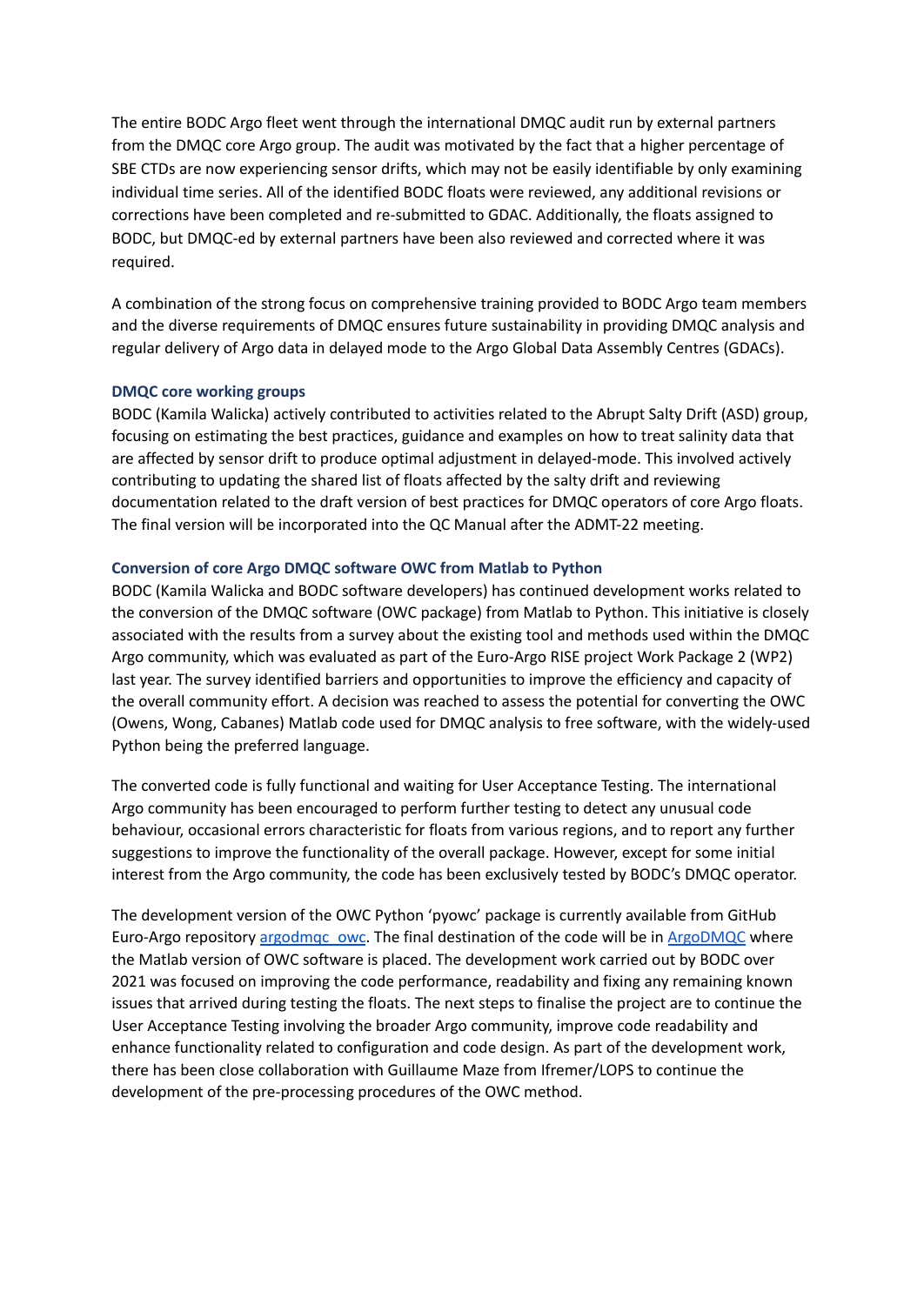The entire BODC Argo fleet went through the international DMQC audit run by external partners from the DMQC core Argo group. The audit was motivated by the fact that a higher percentage of SBE CTDs are now experiencing sensor drifts, which may not be easily identifiable by only examining individual time series. All of the identified BODC floats were reviewed, any additional revisions or corrections have been completed and re-submitted to GDAC. Additionally, the floats assigned to BODC, but DMQC-ed by external partners have been also reviewed and corrected where it was required.

A combination of the strong focus on comprehensive training provided to BODC Argo team members and the diverse requirements of DMQC ensures future sustainability in providing DMQC analysis and regular delivery of Argo data in delayed mode to the Argo Global Data Assembly Centres (GDACs).

#### **DMQC core working groups**

BODC (Kamila Walicka) actively contributed to activities related to the Abrupt Salty Drift (ASD) group, focusing on estimating the best practices, guidance and examples on how to treat salinity data that are affected by sensor drift to produce optimal adjustment in delayed-mode. This involved actively contributing to updating the shared list of floats affected by the salty drift and reviewing documentation related to the draft version of best practices for DMQC operators of core Argo floats. The final version will be incorporated into the QC Manual after the ADMT-22 meeting.

#### **Conversion of core Argo DMQC software OWC from Matlab to Python**

BODC (Kamila Walicka and BODC software developers) has continued development works related to the conversion of the DMQC software (OWC package) from Matlab to Python. This initiative is closely associated with the results from a survey about the existing tool and methods used within the DMQC Argo community, which was evaluated as part of the Euro-Argo RISE project Work Package 2 (WP2) last year. The survey identified barriers and opportunities to improve the efficiency and capacity of the overall community effort. A decision was reached to assess the potential for converting the OWC (Owens, Wong, Cabanes) Matlab code used for DMQC analysis to free software, with the widely-used Python being the preferred language.

The converted code is fully functional and waiting for User Acceptance Testing. The international Argo community has been encouraged to perform further testing to detect any unusual code behaviour, occasional errors characteristic for floats from various regions, and to report any further suggestions to improve the functionality of the overall package. However, except for some initial interest from the Argo community, the code has been exclusively tested by BODC's DMQC operator.

The development version of the OWC Python 'pyowc' package is currently available from GitHub Euro-Argo repository argodmgc\_owc. The final destination of the code will be in [ArgoDMQC](https://github.com/ArgoDMQC) where the Matlab version of OWC software is placed. The development work carried out by BODC over 2021 was focused on improving the code performance, readability and fixing any remaining known issues that arrived during testing the floats. The next steps to finalise the project are to continue the User Acceptance Testing involving the broader Argo community, improve code readability and enhance functionality related to configuration and code design. As part of the development work, there has been close collaboration with Guillaume Maze from Ifremer/LOPS to continue the development of the pre-processing procedures of the OWC method.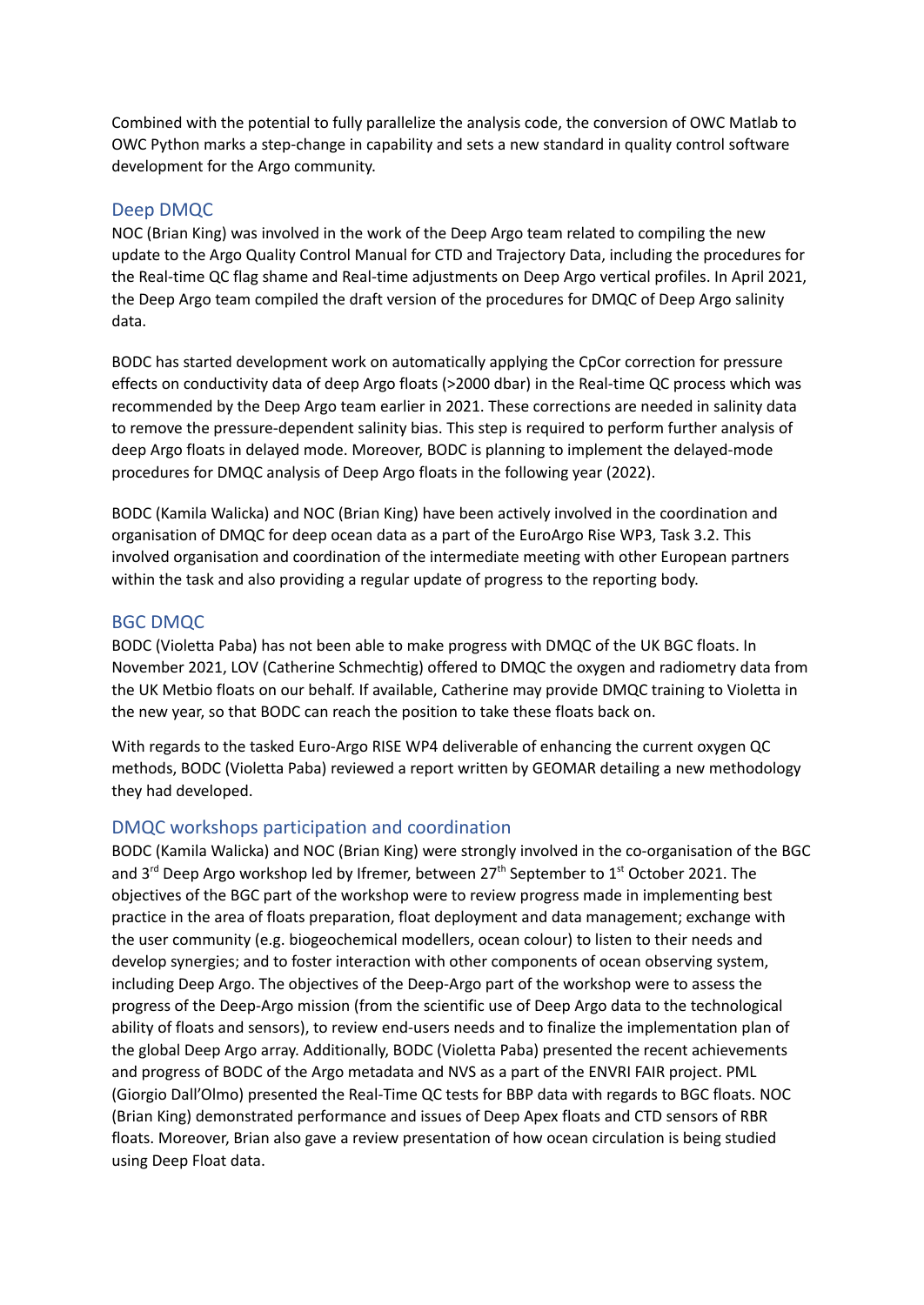Combined with the potential to fully parallelize the analysis code, the conversion of OWC Matlab to OWC Python marks a step-change in capability and sets a new standard in quality control software development for the Argo community.

#### Deep DMQC

NOC (Brian King) was involved in the work of the Deep Argo team related to compiling the new update to the Argo Quality Control Manual for CTD and Trajectory Data, including the procedures for the Real-time QC flag shame and Real-time adjustments on Deep Argo vertical profiles. In April 2021, the Deep Argo team compiled the draft version of the procedures for DMQC of Deep Argo salinity data.

BODC has started development work on automatically applying the CpCor correction for pressure effects on conductivity data of deep Argo floats (>2000 dbar) in the Real-time QC process which was recommended by the Deep Argo team earlier in 2021. These corrections are needed in salinity data to remove the pressure-dependent salinity bias. This step is required to perform further analysis of deep Argo floats in delayed mode. Moreover, BODC is planning to implement the delayed-mode procedures for DMQC analysis of Deep Argo floats in the following year (2022).

BODC (Kamila Walicka) and NOC (Brian King) have been actively involved in the coordination and organisation of DMQC for deep ocean data as a part of the EuroArgo Rise WP3, Task 3.2. This involved organisation and coordination of the intermediate meeting with other European partners within the task and also providing a regular update of progress to the reporting body.

#### BGC DMQC

BODC (Violetta Paba) has not been able to make progress with DMQC of the UK BGC floats. In November 2021, LOV (Catherine Schmechtig) offered to DMQC the oxygen and radiometry data from the UK Metbio floats on our behalf. If available, Catherine may provide DMQC training to Violetta in the new year, so that BODC can reach the position to take these floats back on.

With regards to the tasked Euro-Argo RISE WP4 deliverable of enhancing the current oxygen QC methods, BODC (Violetta Paba) reviewed a report written by GEOMAR detailing a new methodology they had developed.

#### DMQC workshops participation and coordination

BODC (Kamila Walicka) and NOC (Brian King) were strongly involved in the co-organisation of the BGC and 3<sup>rd</sup> Deep Argo workshop led by Ifremer, between 27<sup>th</sup> September to 1<sup>st</sup> October 2021. The objectives of the BGC part of the workshop were to review progress made in implementing best practice in the area of floats preparation, float deployment and data management; exchange with the user community (e.g. biogeochemical modellers, ocean colour) to listen to their needs and develop synergies; and to foster interaction with other components of ocean observing system, including Deep Argo. The objectives of the Deep-Argo part of the workshop were to assess the progress of the Deep-Argo mission (from the scientific use of Deep Argo data to the technological ability of floats and sensors), to review end-users needs and to finalize the implementation plan of the global Deep Argo array. Additionally, BODC (Violetta Paba) presented the recent achievements and progress of BODC of the Argo metadata and NVS as a part of the ENVRI FAIR project. PML (Giorgio Dall'Olmo) presented the Real-Time QC tests for BBP data with regards to BGC floats. NOC (Brian King) demonstrated performance and issues of Deep Apex floats and CTD sensors of RBR floats. Moreover, Brian also gave a review presentation of how ocean circulation is being studied using Deep Float data.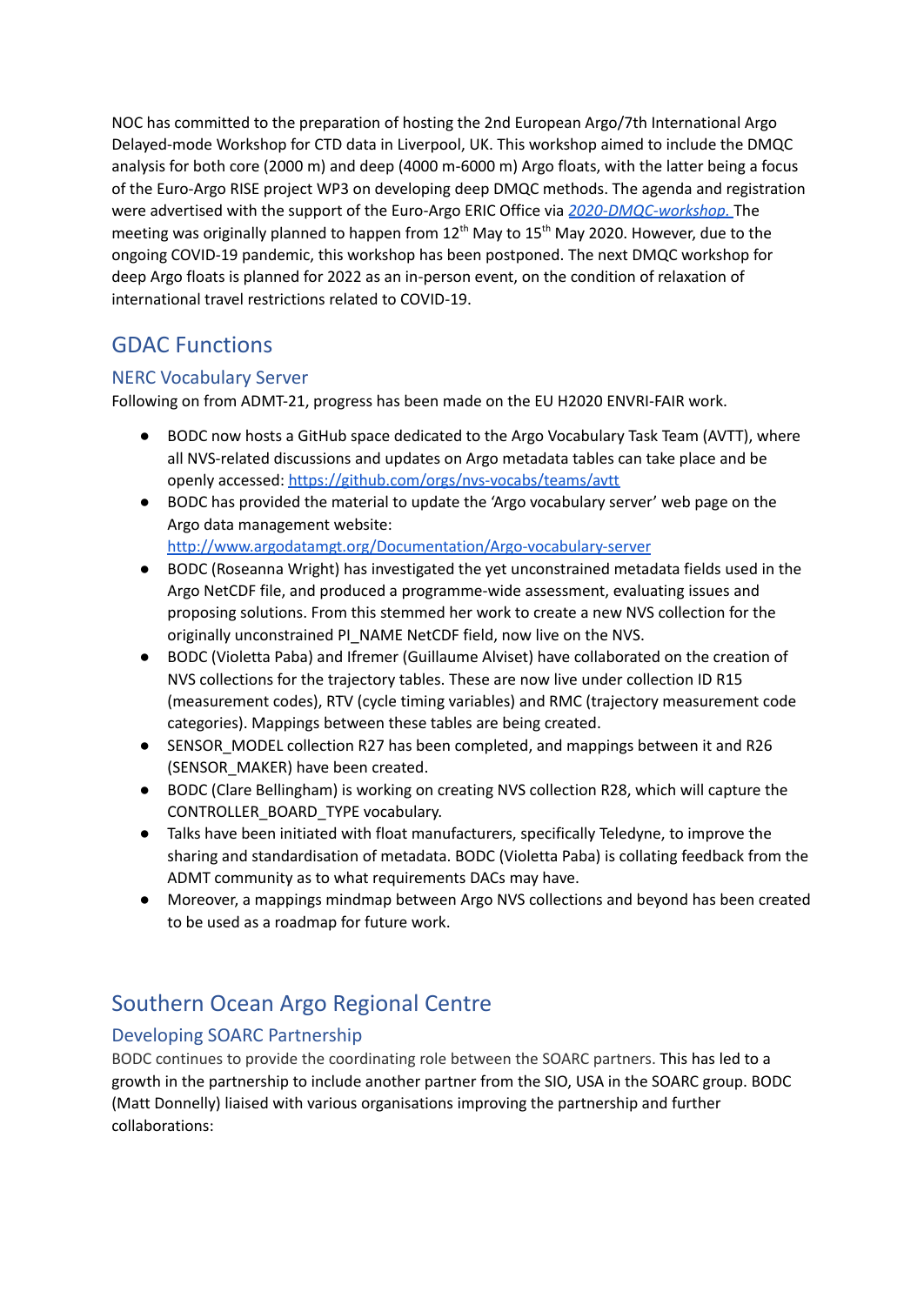NOC has committed to the preparation of hosting the 2nd European Argo/7th International Argo Delayed-mode Workshop for CTD data in Liverpool, UK. This workshop aimed to include the DMQC analysis for both core (2000 m) and deep (4000 m-6000 m) Argo floats, with the latter being a focus of the Euro-Argo RISE project WP3 on developing deep DMQC methods. The agenda and registration were advertised with the support of the Euro-Argo ERIC Office via *[2020-DMQC-workshop.](https://www.euro-argo.eu/News-Meetings/Meetings/Others/2020-DMQC-workshop)* The meeting was originally planned to happen from 12<sup>th</sup> May to 15<sup>th</sup> May 2020. However, due to the ongoing COVID-19 pandemic, this workshop has been postponed. The next DMQC workshop for deep Argo floats is planned for 2022 as an in-person event, on the condition of relaxation of international travel restrictions related to COVID-19.

# GDAC Functions

### NERC Vocabulary Server

Following on from ADMT-21, progress has been made on the EU H2020 ENVRI-FAIR work.

- BODC now hosts a GitHub space dedicated to the Argo Vocabulary Task Team (AVTT), where all NVS-related discussions and updates on Argo metadata tables can take place and be openly accessed: <https://github.com/orgs/nvs-vocabs/teams/avtt>
- BODC has provided the material to update the 'Argo vocabulary server' web page on the Argo data management website: <http://www.argodatamgt.org/Documentation/Argo-vocabulary-server>
- BODC (Roseanna Wright) has investigated the yet unconstrained metadata fields used in the Argo NetCDF file, and produced a programme-wide assessment, evaluating issues and proposing solutions. From this stemmed her work to create a new NVS collection for the originally unconstrained PI\_NAME NetCDF field, now live on the NVS.
- BODC (Violetta Paba) and Ifremer (Guillaume Alviset) have collaborated on the creation of NVS collections for the trajectory tables. These are now live under collection ID R15 (measurement codes), RTV (cycle timing variables) and RMC (trajectory measurement code categories). Mappings between these tables are being created.
- SENSOR\_MODEL collection R27 has been completed, and mappings between it and R26 (SENSOR\_MAKER) have been created.
- BODC (Clare Bellingham) is working on creating NVS collection R28, which will capture the CONTROLLER\_BOARD\_TYPE vocabulary.
- Talks have been initiated with float manufacturers, specifically Teledyne, to improve the sharing and standardisation of metadata. BODC (Violetta Paba) is collating feedback from the ADMT community as to what requirements DACs may have.
- Moreover, a mappings mindmap between Argo NVS collections and beyond has been created to be used as a roadmap for future work.

# Southern Ocean Argo Regional Centre

### Developing SOARC Partnership

BODC continues to provide the coordinating role between the SOARC partners. This has led to a growth in the partnership to include another partner from the SIO, USA in the SOARC group. BODC (Matt Donnelly) liaised with various organisations improving the partnership and further collaborations: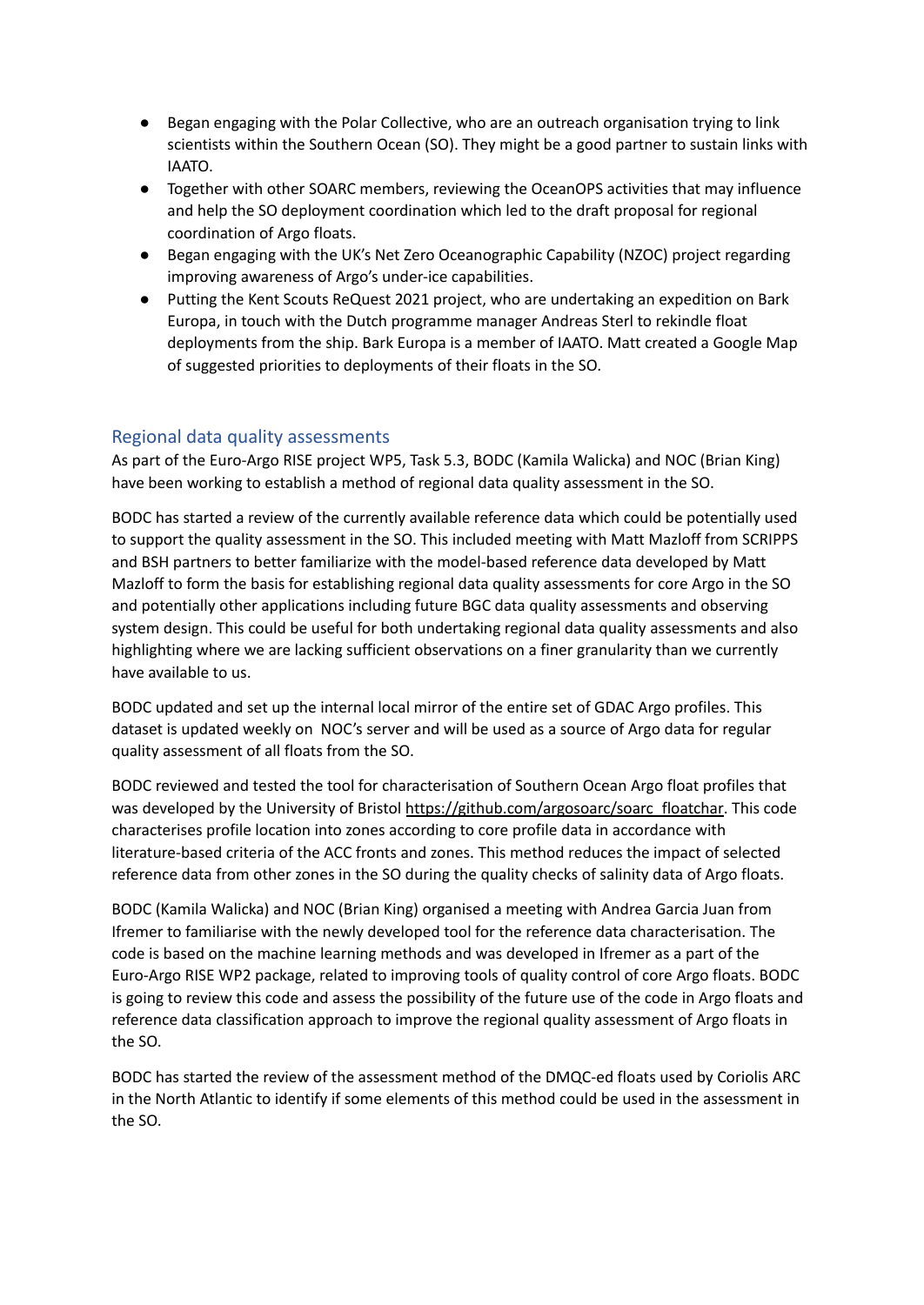- Began engaging with the Polar Collective, who are an outreach organisation trying to link scientists within the Southern Ocean (SO). They might be a good partner to sustain links with IAATO.
- Together with other SOARC members, reviewing the OceanOPS activities that may influence and help the SO deployment coordination which led to the draft proposal for regional coordination of Argo floats.
- Began engaging with the UK's Net Zero Oceanographic Capability (NZOC) project regarding improving awareness of Argo's under-ice capabilities.
- Putting the Kent Scouts ReQuest 2021 project, who are undertaking an expedition on Bark Europa, in touch with the Dutch programme manager Andreas Sterl to rekindle float deployments from the ship. Bark Europa is a member of IAATO. Matt created a Google Map of suggested priorities to deployments of their floats in the SO.

#### Regional data quality assessments

As part of the Euro-Argo RISE project WP5, Task 5.3, BODC (Kamila Walicka) and NOC (Brian King) have been working to establish a method of regional data quality assessment in the SO.

BODC has started a review of the currently available reference data which could be potentially used to support the quality assessment in the SO. This included meeting with Matt Mazloff from SCRIPPS and BSH partners to better familiarize with the model-based reference data developed by Matt Mazloff to form the basis for establishing regional data quality assessments for core Argo in the SO and potentially other applications including future BGC data quality assessments and observing system design. This could be useful for both undertaking regional data quality assessments and also highlighting where we are lacking sufficient observations on a finer granularity than we currently have available to us.

BODC updated and set up the internal local mirror of the entire set of GDAC Argo profiles. This dataset is updated weekly on NOC's server and will be used as a source of Argo data for regular quality assessment of all floats from the SO.

BODC reviewed and tested the tool for characterisation of Southern Ocean Argo float profiles that was developed by the University of Bristol [https://github.com/argosoarc/soarc\\_floatchar.](https://github.com/argosoarc/soarc_floatchar) This code characterises profile location into zones according to core profile data in accordance with literature-based criteria of the ACC fronts and zones. This method reduces the impact of selected reference data from other zones in the SO during the quality checks of salinity data of Argo floats.

BODC (Kamila Walicka) and NOC (Brian King) organised a meeting with Andrea Garcia Juan from Ifremer to familiarise with the newly developed tool for the reference data characterisation. The code is based on the machine learning methods and was developed in Ifremer as a part of the Euro-Argo RISE WP2 package, related to improving tools of quality control of core Argo floats. BODC is going to review this code and assess the possibility of the future use of the code in Argo floats and reference data classification approach to improve the regional quality assessment of Argo floats in the SO.

BODC has started the review of the assessment method of the DMQC-ed floats used by Coriolis ARC in the North Atlantic to identify if some elements of this method could be used in the assessment in the SO.